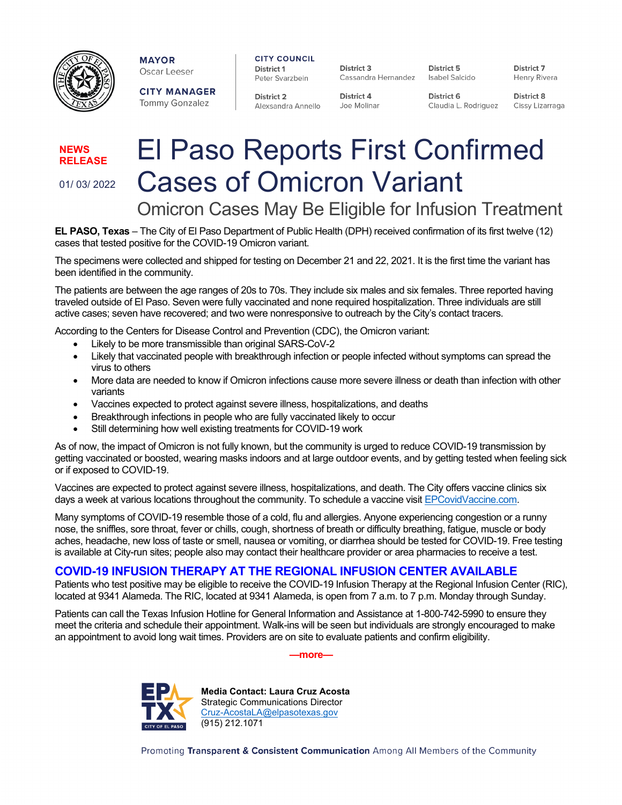

**MAYOR** Oscar Leeser

**CITY MANAGER** Tommy Gonzalez

**CITY COUNCIL District 1** Peter Svarzbein

Alexsandra Annello

District 2

District 3 Cassandra Hernandez Isabel Salcido

District 4

Joe Molinar

District 5

Claudia L. Rodriguez

District 6

District 7 Henry Rivera

District 8 Cissy Lizarraga

## **NEWS RELEASE**

01/ 03/ 2022

## El Paso Reports First Confirmed Cases of Omicron Variant Omicron Cases May Be Eligible for Infusion Treatment

**EL PASO, Texas** – The City of El Paso Department of Public Health (DPH) received confirmation of its first twelve (12) cases that tested positive for the COVID-19 Omicron variant.

The specimens were collected and shipped for testing on December 21 and 22, 2021. It is the first time the variant has been identified in the community.

The patients are between the age ranges of 20s to 70s. They include six males and six females. Three reported having traveled outside of El Paso. Seven were fully vaccinated and none required hospitalization. Three individuals are still active cases; seven have recovered; and two were nonresponsive to outreach by the City's contact tracers.

According to the Centers for Disease Control and Prevention (CDC), the Omicron variant:

- Likely to be more transmissible than original SARS-CoV-2
- Likely that vaccinated people with breakthrough infection or people infected without symptoms can spread the virus to others
- More data are needed to know if Omicron infections cause more severe illness or death than infection with other variants
- Vaccines expected to protect against severe illness, hospitalizations, and deaths
- Breakthrough infections in people who are fully vaccinated likely to occur
- Still determining how well existing treatments for COVID-19 work

As of now, the impact of Omicron is not fully known, but the community is urged to reduce COVID-19 transmission by getting vaccinated or boosted, wearing masks indoors and at large outdoor events, and by getting tested when feeling sick or if exposed to COVID-19.

Vaccines are expected to protect against severe illness, hospitalizations, and death. The City offers vaccine clinics six days a week at various locations throughout the community. To schedule a vaccine visit [EPCovidVaccine.com.](http://www.epcovidvaccine.com/)

Many symptoms of COVID-19 resemble those of a cold, flu and allergies. Anyone experiencing congestion or a runny nose, the sniffles, sore throat, fever or chills, cough, shortness of breath or difficulty breathing, fatigue, muscle or body aches, headache, new loss of taste or smell, nausea or vomiting, or diarrhea should be tested for COVID-19. Free testing is available at City-run sites; people also may contact their healthcare provider or area pharmacies to receive a test.

## **COVID-19 INFUSION THERAPY AT THE REGIONAL INFUSION CENTER AVAILABLE**

Patients who test positive may be eligible to receive the COVID-19 Infusion Therapy at the Regional Infusion Center (RIC), located at 9341 Alameda. The RIC, located at 9341 Alameda, is open from 7 a.m. to 7 p.m. Monday through Sunday.

Patients can call the Texas Infusion Hotline for General Information and Assistance at 1-800-742-5990 to ensure they meet the criteria and schedule their appointment. Walk-ins will be seen but individuals are strongly encouraged to make an appointment to avoid long wait times. Providers are on site to evaluate patients and confirm eligibility.

## **—more—**



**Media Contact: Laura Cruz Acosta** Strategic Communications Director [Cruz-AcostaLA@elpasotexas.gov](mailto:Cruz-AcostaLA@elpasotexas.gov) (915) 212.1071

Promoting Transparent & Consistent Communication Among All Members of the Community